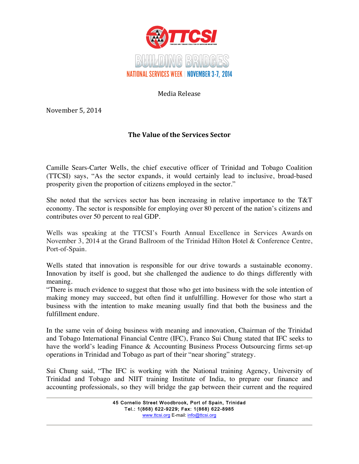

Media Release

November 5, 2014

## **The Value of the Services Sector**

Camille Sears-Carter Wells, the chief executive officer of Trinidad and Tobago Coalition (TTCSI) says, "As the sector expands, it would certainly lead to inclusive, broad-based prosperity given the proportion of citizens employed in the sector."

She noted that the services sector has been increasing in relative importance to the T&T economy. The sector is responsible for employing over 80 percent of the nation's citizens and contributes over 50 percent to real GDP.

Wells was speaking at the TTCSI's Fourth Annual Excellence in Services Awards on November 3, 2014 at the Grand Ballroom of the Trinidad Hilton Hotel & Conference Centre, Port-of-Spain.

Wells stated that innovation is responsible for our drive towards a sustainable economy. Innovation by itself is good, but she challenged the audience to do things differently with meaning.

"There is much evidence to suggest that those who get into business with the sole intention of making money may succeed, but often find it unfulfilling. However for those who start a business with the intention to make meaning usually find that both the business and the fulfillment endure.

In the same vein of doing business with meaning and innovation, Chairman of the Trinidad and Tobago International Financial Centre (IFC), Franco Sui Chung stated that IFC seeks to have the world's leading Finance & Accounting Business Process Outsourcing firms set-up operations in Trinidad and Tobago as part of their "near shoring" strategy.

Sui Chung said, "The IFC is working with the National training Agency, University of Trinidad and Tobago and NIIT training Institute of India, to prepare our finance and accounting professionals, so they will bridge the gap between their current and the required